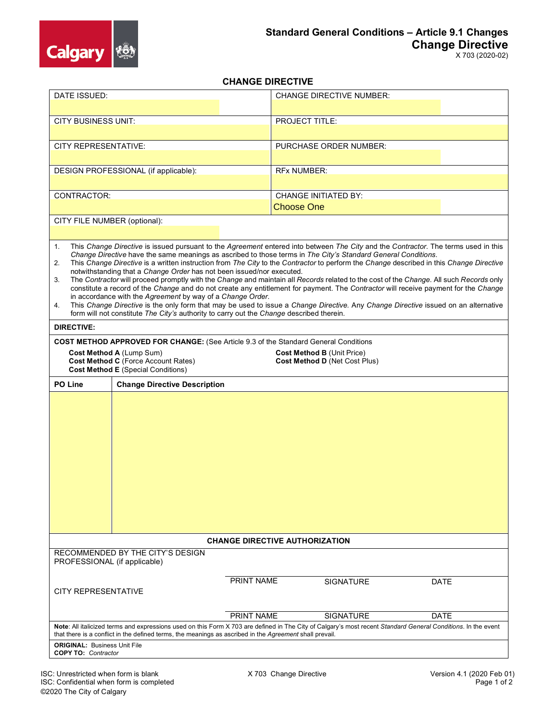

## **CHANGE DIRECTIVE**

| DATE ISSUED:                                                                                                                                                                                                                                                                                                                                                                                                                                                                                                                                                                                                                                                                                                                                                                                                                                                                                                                                                                                                                                                                     |  |            | <b>CHANGE DIRECTIVE NUMBER:</b> |             |
|----------------------------------------------------------------------------------------------------------------------------------------------------------------------------------------------------------------------------------------------------------------------------------------------------------------------------------------------------------------------------------------------------------------------------------------------------------------------------------------------------------------------------------------------------------------------------------------------------------------------------------------------------------------------------------------------------------------------------------------------------------------------------------------------------------------------------------------------------------------------------------------------------------------------------------------------------------------------------------------------------------------------------------------------------------------------------------|--|------------|---------------------------------|-------------|
|                                                                                                                                                                                                                                                                                                                                                                                                                                                                                                                                                                                                                                                                                                                                                                                                                                                                                                                                                                                                                                                                                  |  |            |                                 |             |
| <b>CITY BUSINESS UNIT:</b>                                                                                                                                                                                                                                                                                                                                                                                                                                                                                                                                                                                                                                                                                                                                                                                                                                                                                                                                                                                                                                                       |  |            | <b>PROJECT TITLE:</b>           |             |
| <b>CITY REPRESENTATIVE:</b>                                                                                                                                                                                                                                                                                                                                                                                                                                                                                                                                                                                                                                                                                                                                                                                                                                                                                                                                                                                                                                                      |  |            | PURCHASE ORDER NUMBER:          |             |
|                                                                                                                                                                                                                                                                                                                                                                                                                                                                                                                                                                                                                                                                                                                                                                                                                                                                                                                                                                                                                                                                                  |  |            |                                 |             |
| DESIGN PROFESSIONAL (if applicable):                                                                                                                                                                                                                                                                                                                                                                                                                                                                                                                                                                                                                                                                                                                                                                                                                                                                                                                                                                                                                                             |  |            | <b>RFx NUMBER:</b>              |             |
|                                                                                                                                                                                                                                                                                                                                                                                                                                                                                                                                                                                                                                                                                                                                                                                                                                                                                                                                                                                                                                                                                  |  |            |                                 |             |
| CONTRACTOR:                                                                                                                                                                                                                                                                                                                                                                                                                                                                                                                                                                                                                                                                                                                                                                                                                                                                                                                                                                                                                                                                      |  |            | <b>CHANGE INITIATED BY:</b>     |             |
|                                                                                                                                                                                                                                                                                                                                                                                                                                                                                                                                                                                                                                                                                                                                                                                                                                                                                                                                                                                                                                                                                  |  |            | <b>Choose One</b>               |             |
| CITY FILE NUMBER (optional):                                                                                                                                                                                                                                                                                                                                                                                                                                                                                                                                                                                                                                                                                                                                                                                                                                                                                                                                                                                                                                                     |  |            |                                 |             |
|                                                                                                                                                                                                                                                                                                                                                                                                                                                                                                                                                                                                                                                                                                                                                                                                                                                                                                                                                                                                                                                                                  |  |            |                                 |             |
| This Change Directive is issued pursuant to the Agreement entered into between The City and the Contractor. The terms used in this<br>1.<br>Change Directive have the same meanings as ascribed to those terms in The City's Standard General Conditions.<br>This Change Directive is a written instruction from The City to the Contractor to perform the Change described in this Change Directive<br>2.<br>notwithstanding that a Change Order has not been issued/nor executed.<br>The Contractor will proceed promptly with the Change and maintain all Records related to the cost of the Change. All such Records only<br>3.<br>constitute a record of the Change and do not create any entitlement for payment. The Contractor will receive payment for the Change<br>in accordance with the Agreement by way of a Change Order.<br>This Change Directive is the only form that may be used to issue a Change Directive. Any Change Directive issued on an alternative<br>4.<br>form will not constitute The City's authority to carry out the Change described therein. |  |            |                                 |             |
| <b>DIRECTIVE:</b>                                                                                                                                                                                                                                                                                                                                                                                                                                                                                                                                                                                                                                                                                                                                                                                                                                                                                                                                                                                                                                                                |  |            |                                 |             |
| <b>COST METHOD APPROVED FOR CHANGE:</b> (See Article 9.3 of the Standard General Conditions                                                                                                                                                                                                                                                                                                                                                                                                                                                                                                                                                                                                                                                                                                                                                                                                                                                                                                                                                                                      |  |            |                                 |             |
| Cost Method A (Lump Sum)<br>Cost Method B (Unit Price)<br>Cost Method C (Force Account Rates)<br>Cost Method D (Net Cost Plus)<br><b>Cost Method E</b> (Special Conditions)                                                                                                                                                                                                                                                                                                                                                                                                                                                                                                                                                                                                                                                                                                                                                                                                                                                                                                      |  |            |                                 |             |
| <b>PO Line</b><br><b>Change Directive Description</b>                                                                                                                                                                                                                                                                                                                                                                                                                                                                                                                                                                                                                                                                                                                                                                                                                                                                                                                                                                                                                            |  |            |                                 |             |
|                                                                                                                                                                                                                                                                                                                                                                                                                                                                                                                                                                                                                                                                                                                                                                                                                                                                                                                                                                                                                                                                                  |  |            |                                 |             |
| <b>CHANGE DIRECTIVE AUTHORIZATION</b>                                                                                                                                                                                                                                                                                                                                                                                                                                                                                                                                                                                                                                                                                                                                                                                                                                                                                                                                                                                                                                            |  |            |                                 |             |
| RECOMMENDED BY THE CITY'S DESIGN<br>PROFESSIONAL (if applicable)                                                                                                                                                                                                                                                                                                                                                                                                                                                                                                                                                                                                                                                                                                                                                                                                                                                                                                                                                                                                                 |  |            |                                 |             |
| <b>CITY REPRESENTATIVE</b>                                                                                                                                                                                                                                                                                                                                                                                                                                                                                                                                                                                                                                                                                                                                                                                                                                                                                                                                                                                                                                                       |  | PRINT NAME | <b>SIGNATURE</b>                | <b>DATE</b> |
|                                                                                                                                                                                                                                                                                                                                                                                                                                                                                                                                                                                                                                                                                                                                                                                                                                                                                                                                                                                                                                                                                  |  | PRINT NAME | <b>SIGNATURE</b>                | <b>DATE</b> |
| Note: All italicized terms and expressions used on this Form X 703 are defined in The City of Calgary's most recent Standard General Conditions. In the event<br>that there is a conflict in the defined terms, the meanings as ascribed in the Agreement shall prevail.                                                                                                                                                                                                                                                                                                                                                                                                                                                                                                                                                                                                                                                                                                                                                                                                         |  |            |                                 |             |
| <b>ORIGINAL: Business Unit File</b><br><b>COPY TO: Contractor</b>                                                                                                                                                                                                                                                                                                                                                                                                                                                                                                                                                                                                                                                                                                                                                                                                                                                                                                                                                                                                                |  |            |                                 |             |